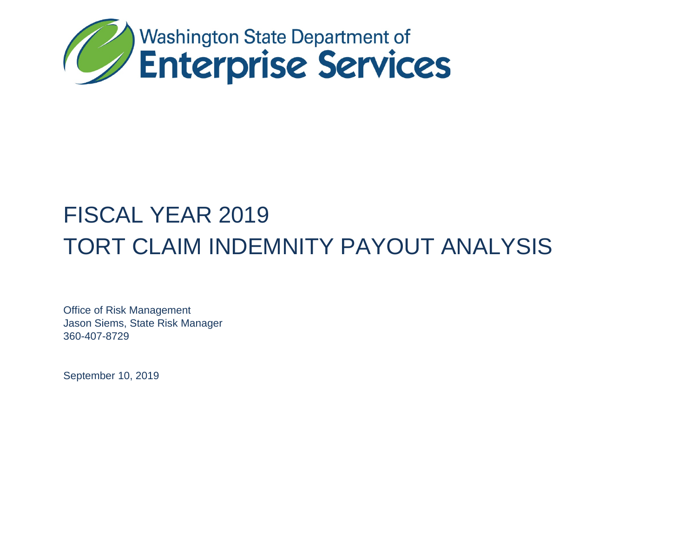

# FISCAL YEAR 2019 TORT CLAIM INDEMNITY PAYOUT ANALYSIS

Office of Risk Management Jason Siems, State Risk Manager 360-407-8729

September 10, 2019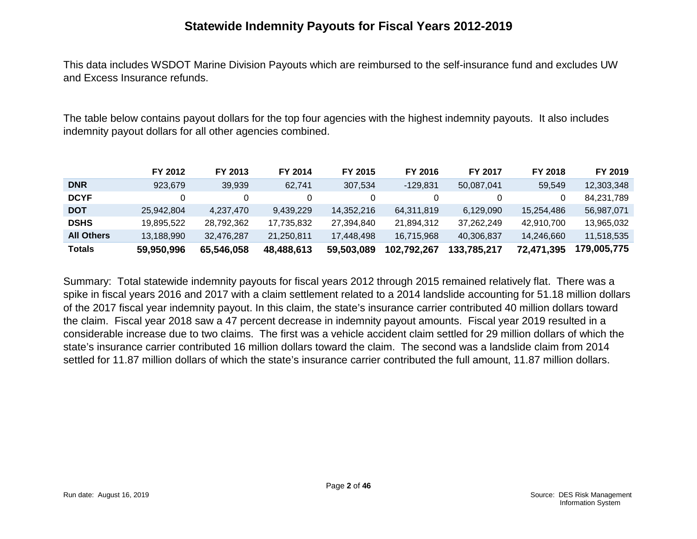#### **Statewide Indemnity Payouts for Fiscal Years 2012-2019**

This data includes WSDOT Marine Division Payouts which are reimbursed to the self-insurance fund and excludes UW and Excess Insurance refunds.

The table below contains payout dollars for the top four agencies with the highest indemnity payouts. It also includes indemnity payout dollars for all other agencies combined.

|                   | FY 2012    | FY 2013    | FY 2014    | FY 2015    | FY 2016     | FY 2017     | FY 2018    | FY 2019     |
|-------------------|------------|------------|------------|------------|-------------|-------------|------------|-------------|
| <b>DNR</b>        | 923.679    | 39.939     | 62.741     | 307.534    | $-129.831$  | 50,087,041  | 59.549     | 12,303,348  |
| <b>DCYF</b>       |            | 0          |            |            |             |             |            | 84,231,789  |
| <b>DOT</b>        | 25.942.804 | 4.237.470  | 9.439.229  | 14,352,216 | 64,311,819  | 6,129,090   | 15,254,486 | 56,987,071  |
| <b>DSHS</b>       | 19.895.522 | 28.792.362 | 17.735.832 | 27.394.840 | 21,894,312  | 37.262.249  | 42,910,700 | 13,965,032  |
| <b>All Others</b> | 13.188.990 | 32.476.287 | 21.250.811 | 17.448.498 | 16.715.968  | 40.306.837  | 14.246.660 | 11.518.535  |
| <b>Totals</b>     | 59,950,996 | 65,546,058 | 48,488,613 | 59,503,089 | 102,792,267 | 133,785,217 | 72,471,395 | 179,005,775 |

Summary: Total statewide indemnity payouts for fiscal years 2012 through 2015 remained relatively flat. There was a spike in fiscal years 2016 and 2017 with a claim settlement related to a 2014 landslide accounting for 51.18 million dollars of the 2017 fiscal year indemnity payout. In this claim, the state's insurance carrier contributed 40 million dollars toward the claim. Fiscal year 2018 saw a 47 percent decrease in indemnity payout amounts. Fiscal year 2019 resulted in a considerable increase due to two claims. The first was a vehicle accident claim settled for 29 million dollars of which the state's insurance carrier contributed 16 million dollars toward the claim. The second was a landslide claim from 2014 settled for 11.87 million dollars of which the state's insurance carrier contributed the full amount, 11.87 million dollars.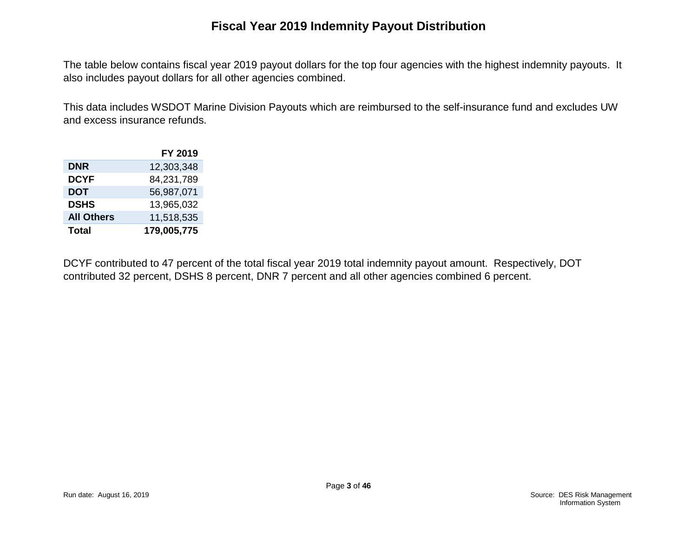## **Fiscal Year 2019 Indemnity Payout Distribution**

The table below contains fiscal year 2019 payout dollars for the top four agencies with the highest indemnity payouts. It also includes payout dollars for all other agencies combined.

This data includes WSDOT Marine Division Payouts which are reimbursed to the self-insurance fund and excludes UW and excess insurance refunds.

|                   | FY 2019     |
|-------------------|-------------|
| <b>DNR</b>        | 12,303,348  |
| <b>DCYF</b>       | 84,231,789  |
| <b>DOT</b>        | 56,987,071  |
| <b>DSHS</b>       | 13,965,032  |
| <b>All Others</b> | 11,518,535  |
| <b>Total</b>      | 179,005,775 |

DCYF contributed to 47 percent of the total fiscal year 2019 total indemnity payout amount. Respectively, DOT contributed 32 percent, DSHS 8 percent, DNR 7 percent and all other agencies combined 6 percent.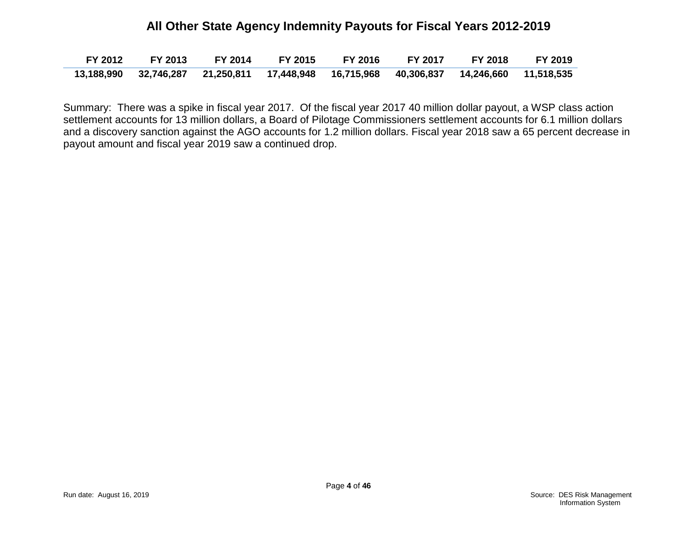#### **All Other State Agency Indemnity Payouts for Fiscal Years 2012-2019**

|  | FY 2012 FY 2013 FY 2014 FY 2015 FY 2016 FY 2017 FY 2018 FY 2019                         |  |  |  |
|--|-----------------------------------------------------------------------------------------|--|--|--|
|  | 13,188,990 32,746,287 21,250,811 17,448,948 16,715,968 40,306,837 14,246,660 11,518,535 |  |  |  |

Summary: There was a spike in fiscal year 2017. Of the fiscal year 2017 40 million dollar payout, a WSP class action settlement accounts for 13 million dollars, a Board of Pilotage Commissioners settlement accounts for 6.1 million dollars and a discovery sanction against the AGO accounts for 1.2 million dollars. Fiscal year 2018 saw a 65 percent decrease in payout amount and fiscal year 2019 saw a continued drop.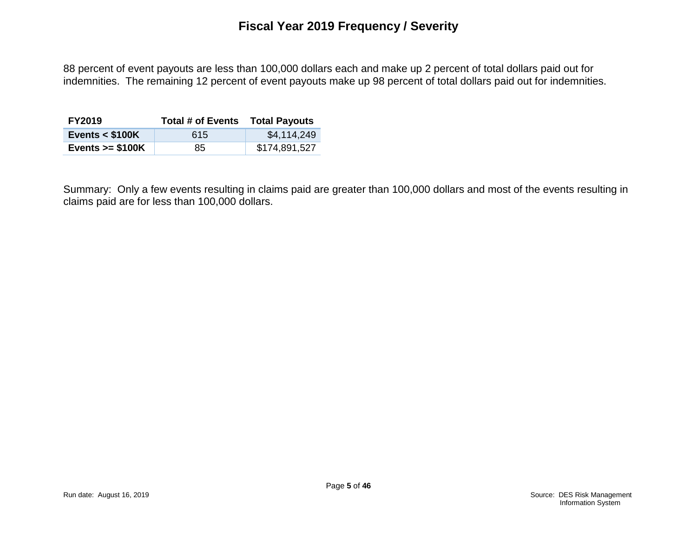88 percent of event payouts are less than 100,000 dollars each and make up 2 percent of total dollars paid out for indemnities. The remaining 12 percent of event payouts make up 98 percent of total dollars paid out for indemnities.

| <b>FY2019</b>     | <b>Total # of Events</b> | <b>Total Payouts</b> |
|-------------------|--------------------------|----------------------|
| Events $<$ \$100K | 615                      | \$4,114,249          |
| Events $>= $100K$ | 85                       | \$174,891,527        |

Summary: Only a few events resulting in claims paid are greater than 100,000 dollars and most of the events resulting in claims paid are for less than 100,000 dollars.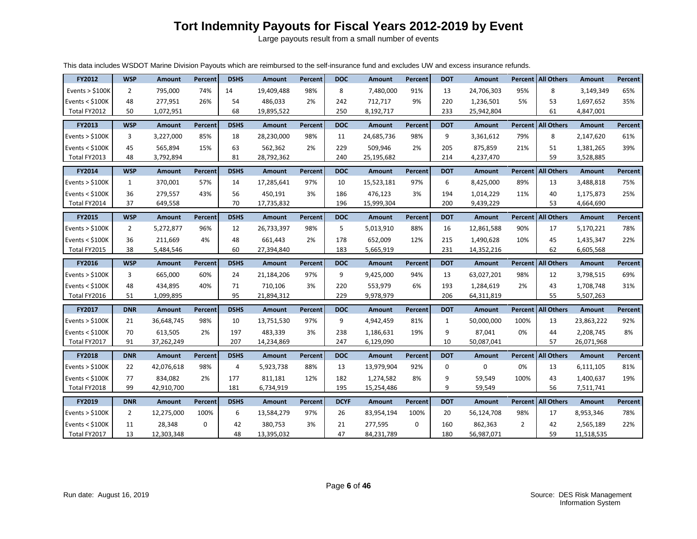# **Tort Indemnity Payouts for Fiscal Years 2012-2019 by Event**

Large payouts result from a small number of events

| This data includes WSDOT Marine Division Payouts which are reimbursed to the self-insurance fund and excludes UW and excess insurance refunds. |  |  |
|------------------------------------------------------------------------------------------------------------------------------------------------|--|--|
|                                                                                                                                                |  |  |

| FY2012            | <b>WSP</b>     | <b>Amount</b> | Percent        | <b>DSHS</b>    | <b>Amount</b> | <b>Percent</b> | <b>DOC</b>  | <b>Amount</b> | Percent        | <b>DOT</b>   | <b>Amount</b> |                | <b>Percent   All Others</b> | <b>Amount</b> | Percent |
|-------------------|----------------|---------------|----------------|----------------|---------------|----------------|-------------|---------------|----------------|--------------|---------------|----------------|-----------------------------|---------------|---------|
| Events $>$ \$100K | $\overline{2}$ | 795,000       | 74%            | 14             | 19,409,488    | 98%            | 8           | 7,480,000     | 91%            | 13           | 24,706,303    | 95%            | 8                           | 3,149,349     | 65%     |
| Events $<$ \$100K | 48             | 277,951       | 26%            | 54             | 486,033       | 2%             | 242         | 712,717       | 9%             | 220          | 1,236,501     | 5%             | 53                          | 1,697,652     | 35%     |
| Total FY2012      | 50             | 1,072,951     |                | 68             | 19,895,522    |                | 250         | 8,192,717     |                | 233          | 25,942,804    |                | 61                          | 4,847,001     |         |
| FY2013            | <b>WSP</b>     | <b>Amount</b> | Percent        | <b>DSHS</b>    | <b>Amount</b> | <b>Percent</b> | <b>DOC</b>  | <b>Amount</b> | Percent        | <b>DOT</b>   | <b>Amount</b> |                | <b>Percent   All Others</b> | Amount        | Percent |
| Events $>$ \$100K | 3              | 3,227,000     | 85%            | 18             | 28,230,000    | 98%            | 11          | 24,685,736    | 98%            | 9            | 3,361,612     | 79%            | 8                           | 2,147,620     | 61%     |
| Events $<$ \$100K | 45             | 565,894       | 15%            | 63             | 562,362       | 2%             | 229         | 509,946       | 2%             | 205          | 875,859       | 21%            | 51                          | 1,381,265     | 39%     |
| Total FY2013      | 48             | 3,792,894     |                | 81             | 28,792,362    |                | 240         | 25,195,682    |                | 214          | 4,237,470     |                | 59                          | 3,528,885     |         |
| <b>FY2014</b>     | <b>WSP</b>     | <b>Amount</b> | <b>Percent</b> | <b>DSHS</b>    | <b>Amount</b> | <b>Percent</b> | <b>DOC</b>  | <b>Amount</b> | <b>Percent</b> | <b>DOT</b>   | Amount        |                | Percent All Others          | <b>Amount</b> | Percent |
| Events $>$ \$100K | $\mathbf{1}$   | 370,001       | 57%            | 14             | 17,285,641    | 97%            | 10          | 15,523,181    | 97%            | 6            | 8,425,000     | 89%            | 13                          | 3,488,818     | 75%     |
| Events $<$ \$100K | 36             | 279,557       | 43%            | 56             | 450,191       | 3%             | 186         | 476,123       | 3%             | 194          | 1,014,229     | 11%            | 40                          | 1,175,873     | 25%     |
| Total FY2014      | 37             | 649,558       |                | 70             | 17,735,832    |                | 196         | 15,999,304    |                | 200          | 9,439,229     |                | 53                          | 4,664,690     |         |
| FY2015            | <b>WSP</b>     | <b>Amount</b> | Percent        | <b>DSHS</b>    | <b>Amount</b> | Percent        | <b>DOC</b>  | <b>Amount</b> | Percent        | <b>DOT</b>   | <b>Amount</b> |                | <b>Percent   All Others</b> | Amount        | Percent |
| Events $>$ \$100K | $\overline{2}$ | 5,272,877     | 96%            | 12             | 26,733,397    | 98%            | 5           | 5,013,910     | 88%            | 16           | 12,861,588    | 90%            | 17                          | 5,170,221     | 78%     |
| Events $<$ \$100K | 36             | 211,669       | 4%             | 48             | 661,443       | 2%             | 178         | 652,009       | 12%            | 215          | 1,490,628     | 10%            | 45                          | 1,435,347     | 22%     |
| Total FY2015      | 38             | 5,484,546     |                | 60             | 27,394,840    |                | 183         | 5,665,919     |                | 231          | 14,352,216    |                | 62                          | 6,605,568     |         |
|                   |                |               |                |                |               |                |             |               |                |              |               |                |                             |               |         |
| <b>FY2016</b>     | <b>WSP</b>     | <b>Amount</b> | Percent        | <b>DSHS</b>    | <b>Amount</b> | Percent        | <b>DOC</b>  | Amount        | Percent        | <b>DOT</b>   | <b>Amount</b> |                | <b>Percent   All Others</b> | <b>Amount</b> | Percent |
| Events $>$ \$100K | 3              | 665,000       | 60%            | 24             | 21,184,206    | 97%            | 9           | 9,425,000     | 94%            | 13           | 63,027,201    | 98%            | 12                          | 3,798,515     | 69%     |
| Events $<$ \$100K | 48             | 434,895       | 40%            | 71             | 710,106       | 3%             | 220         | 553,979       | 6%             | 193          | 1,284,619     | 2%             | 43                          | 1,708,748     | 31%     |
| Total FY2016      | 51             | 1,099,895     |                | 95             | 21,894,312    |                | 229         | 9,978,979     |                | 206          | 64,311,819    |                | 55                          | 5,507,263     |         |
| FY2017            | <b>DNR</b>     | <b>Amount</b> | Percent        | <b>DSHS</b>    | <b>Amount</b> | Percent        | <b>DOC</b>  | Amount        | <b>Percent</b> | <b>DOT</b>   | Amount        |                | Percent   All Others        | <b>Amount</b> | Percent |
| Events $>$ \$100K | 21             | 36,648,745    | 98%            | 10             | 13,751,530    | 97%            | 9           | 4,942,459     | 81%            | $\mathbf{1}$ | 50,000,000    | 100%           | 13                          | 23,863,222    | 92%     |
| Events $<$ \$100K | 70             | 613,505       | 2%             | 197            | 483,339       | 3%             | 238         | 1,186,631     | 19%            | 9            | 87,041        | 0%             | 44                          | 2,208,745     | 8%      |
| Total FY2017      | 91             | 37,262,249    |                | 207            | 14,234,869    |                | 247         | 6,129,090     |                | 10           | 50,087,041    |                | 57                          | 26,071,968    |         |
| <b>FY2018</b>     | <b>DNR</b>     | <b>Amount</b> | Percent        | <b>DSHS</b>    | <b>Amount</b> | Percent        | <b>DOC</b>  | Amount        | Percent        | <b>DOT</b>   | Amount        |                | <b>Percent   All Others</b> | <b>Amount</b> | Percent |
| Events $>$ \$100K | 22             | 42,076,618    | 98%            | $\overline{4}$ | 5,923,738     | 88%            | 13          | 13,979,904    | 92%            | 0            | 0             | 0%             | 13                          | 6,111,105     | 81%     |
| Events $<$ \$100K | 77             | 834.082       | 2%             | 177            | 811,181       | 12%            | 182         | 1,274,582     | 8%             | 9            | 59.549        | 100%           | 43                          | 1,400,637     | 19%     |
| Total FY2018      | 99             | 42,910,700    |                | 181            | 6,734,919     |                | 195         | 15,254,486    |                | 9            | 59,549        |                | 56                          | 7,511,741     |         |
| FY2019            | <b>DNR</b>     | <b>Amount</b> | Percent        | <b>DSHS</b>    | <b>Amount</b> | Percent        | <b>DCYF</b> | <b>Amount</b> | Percent        | <b>DOT</b>   | <b>Amount</b> |                | <b>Percent   All Others</b> | <b>Amount</b> | Percent |
| Events $>$ \$100K | $\overline{2}$ | 12,275,000    | 100%           | 6              | 13,584,279    | 97%            | 26          | 83,954,194    | 100%           | 20           | 56,124,708    | 98%            | 17                          | 8,953,346     | 78%     |
| Events $<$ \$100K | 11             | 28,348        | $\Omega$       | 42             | 380,753       | 3%             | 21          | 277,595       | $\Omega$       | 160          | 862,363       | $\overline{2}$ | 42                          | 2,565,189     | 22%     |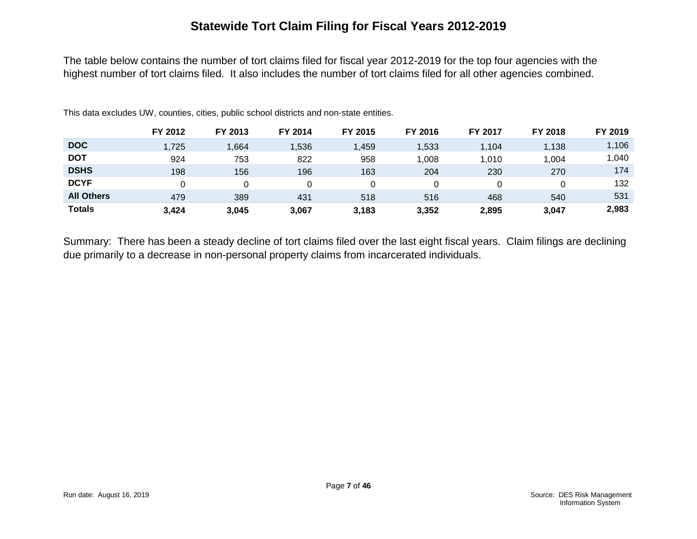## **Statewide Tort Claim Filing for Fiscal Years 2012-2019**

The table below contains the number of tort claims filed for fiscal year 2012-2019 for the top four agencies with the highest number of tort claims filed. It also includes the number of tort claims filed for all other agencies combined.

|                   | FY 2012 | FY 2013 | FY 2014 | FY 2015 | FY 2016 | FY 2017 | FY 2018 | FY 2019 |
|-------------------|---------|---------|---------|---------|---------|---------|---------|---------|
| <b>DOC</b>        | 1,725   | 664, ا  | 1,536   | ,459    | 1,533   | 1.104   | 1.138   | 1,106   |
| <b>DOT</b>        | 924     | 753     | 822     | 958     | 008     | 1,010   | 1,004   | 040, ا  |
| <b>DSHS</b>       | 198     | 156     | 196     | 163     | 204     | 230     | 270     | 174     |
| <b>DCYF</b>       |         |         |         |         |         |         |         | 132     |
| <b>All Others</b> | 479     | 389     | 431     | 518     | 516     | 468     | 540     | 531     |
| <b>Totals</b>     | 3.424   | 3,045   | 3,067   | 3,183   | 3,352   | 2,895   | 3,047   | 2,983   |

This data excludes UW, counties, cities, public school districts and non-state entities.

Summary: There has been a steady decline of tort claims filed over the last eight fiscal years. Claim filings are declining due primarily to a decrease in non-personal property claims from incarcerated individuals.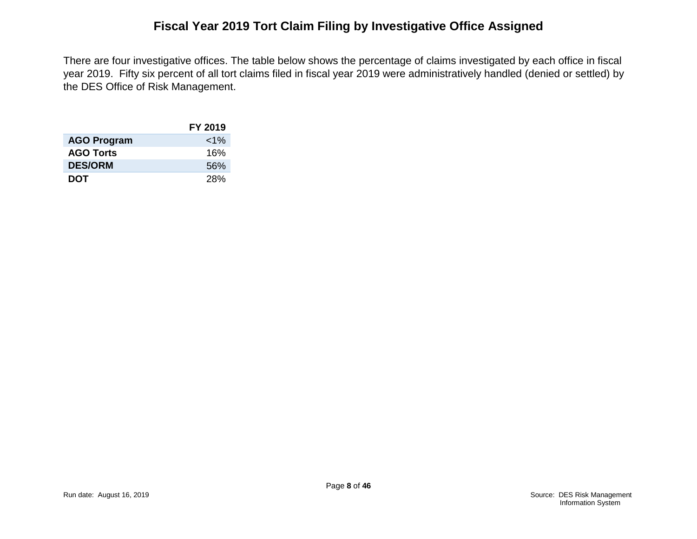## **Fiscal Year 2019 Tort Claim Filing by Investigative Office Assigned**

There are four investigative offices. The table below shows the percentage of claims investigated by each office in fiscal year 2019. Fifty six percent of all tort claims filed in fiscal year 2019 were administratively handled (denied or settled) by the DES Office of Risk Management.

|                    | FY 2019  |
|--------------------|----------|
| <b>AGO Program</b> | ${<}1\%$ |
| <b>AGO Torts</b>   | 16%      |
| <b>DES/ORM</b>     | 56%      |
| DOT                | 28%      |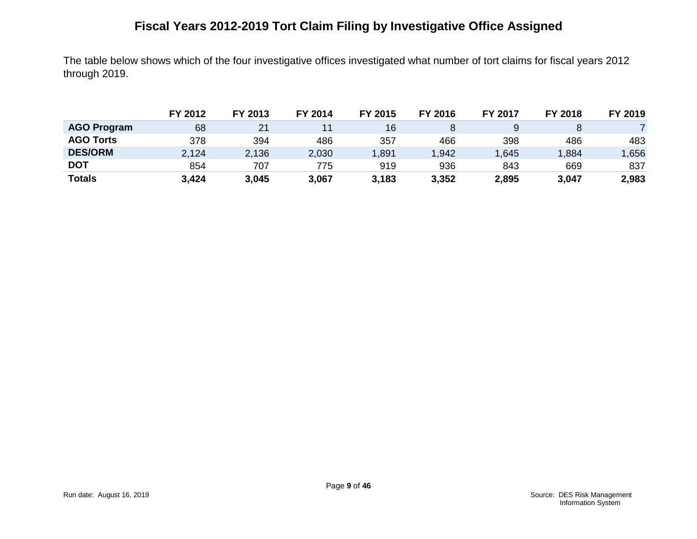# **Fiscal Years 2012-2019 Tort Claim Filing by Investigative Office Assigned**

The table below shows which of the four investigative offices investigated what number of tort claims for fiscal years 2012 through 2019.

|                    | FY 2012 | FY 2013 | FY 2014 | FY 2015 | FY 2016 | FY 2017 | FY 2018 | FY 2019 |
|--------------------|---------|---------|---------|---------|---------|---------|---------|---------|
| <b>AGO Program</b> | 68      | 21      |         | 16      |         |         |         |         |
| <b>AGO Torts</b>   | 378     | 394     | 486     | 357     | 466     | 398     | 486     | 483     |
| <b>DES/ORM</b>     | 2,124   | 2,136   | 2,030   | .891    | .942    | ,645    | ,884    | ,656    |
| <b>DOT</b>         | 854     | 707     | 775     | 919     | 936     | 843     | 669     | 837     |
| <b>Totals</b>      | 3,424   | 3,045   | 3,067   | 3,183   | 3,352   | 2,895   | 3,047   | 2,983   |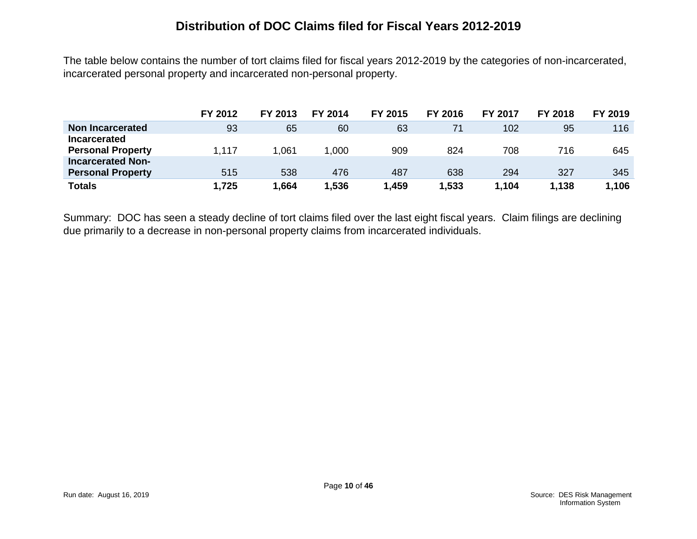#### **Distribution of DOC Claims filed for Fiscal Years 2012-2019**

The table below contains the number of tort claims filed for fiscal years 2012-2019 by the categories of non-incarcerated, incarcerated personal property and incarcerated non-personal property.

|                                                 | FY 2012 | FY 2013 | FY 2014 | FY 2015 | FY 2016 | <b>FY 2017</b> | <b>FY 2018</b> | FY 2019 |
|-------------------------------------------------|---------|---------|---------|---------|---------|----------------|----------------|---------|
| Non Incarcerated                                | 93      | 65      | 60      | 63      | 71      | 102            | 95             | 116     |
| <b>Incarcerated</b><br><b>Personal Property</b> | 1,117   | 061. ا  | .000    | 909     | 824     | 708            | 716            | 645     |
| <b>Incarcerated Non-</b>                        |         |         |         |         |         |                |                |         |
| <b>Personal Property</b>                        | 515     | 538     | 476     | 487     | 638     | 294            | 327            | 345     |
| <b>Totals</b>                                   | 1,725   | 1,664   | .536    | 1,459   | 1,533   | 1,104          | 1,138          | 1.106   |

Summary: DOC has seen a steady decline of tort claims filed over the last eight fiscal years. Claim filings are declining due primarily to a decrease in non-personal property claims from incarcerated individuals.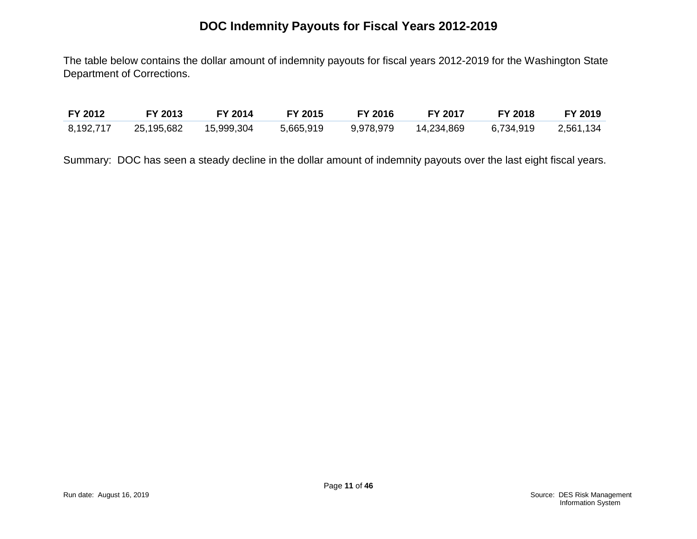## **DOC Indemnity Payouts for Fiscal Years 2012-2019**

The table below contains the dollar amount of indemnity payouts for fiscal years 2012-2019 for the Washington State Department of Corrections.

| FY 2012   | FY 2013    | FY 2014    | FY 2015   | <b>FY 2016</b> | FY 2017    | <b>FY 2018</b> | <b>FY 2019</b> |
|-----------|------------|------------|-----------|----------------|------------|----------------|----------------|
| 8,192,717 | 25,195,682 | 15,999,304 | 5,665,919 | 9,978,979      | 14,234,869 | 6,734,919      | 2,561,134      |

Summary: DOC has seen a steady decline in the dollar amount of indemnity payouts over the last eight fiscal years.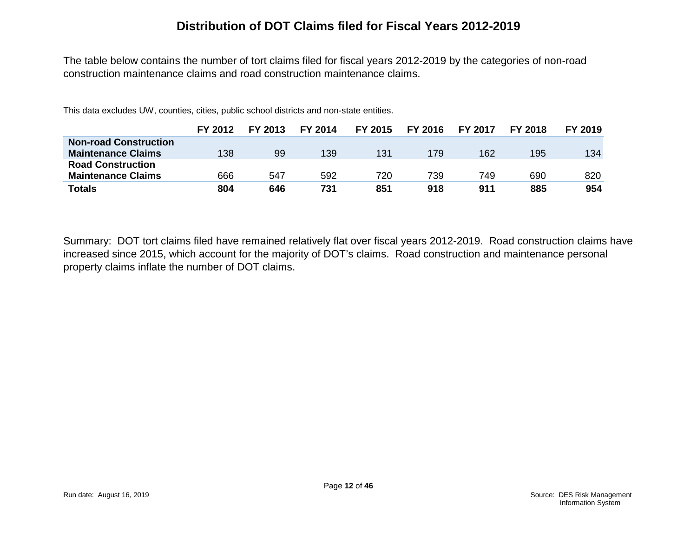#### **Distribution of DOT Claims filed for Fiscal Years 2012-2019**

The table below contains the number of tort claims filed for fiscal years 2012-2019 by the categories of non-road construction maintenance claims and road construction maintenance claims.

This data excludes UW, counties, cities, public school districts and non-state entities.

|                              | FY 2012 | FY 2013 | FY 2014 | FY 2015 | FY 2016 | <b>FY 2017</b> | <b>FY 2018</b> | FY 2019 |
|------------------------------|---------|---------|---------|---------|---------|----------------|----------------|---------|
| <b>Non-road Construction</b> |         |         |         |         |         |                |                |         |
| <b>Maintenance Claims</b>    | 138     | 99      | 139     | 131     | 179     | 162            | 195            | 134     |
| <b>Road Construction</b>     |         |         |         |         |         |                |                |         |
| <b>Maintenance Claims</b>    | 666     | 547     | 592     | 720     | 739     | 749            | 690            | 820     |
| <b>Totals</b>                | 804     | 646     | 731     | 851     | 918     | 911            | 885            | 954     |

Summary: DOT tort claims filed have remained relatively flat over fiscal years 2012-2019. Road construction claims have increased since 2015, which account for the majority of DOT's claims. Road construction and maintenance personal property claims inflate the number of DOT claims.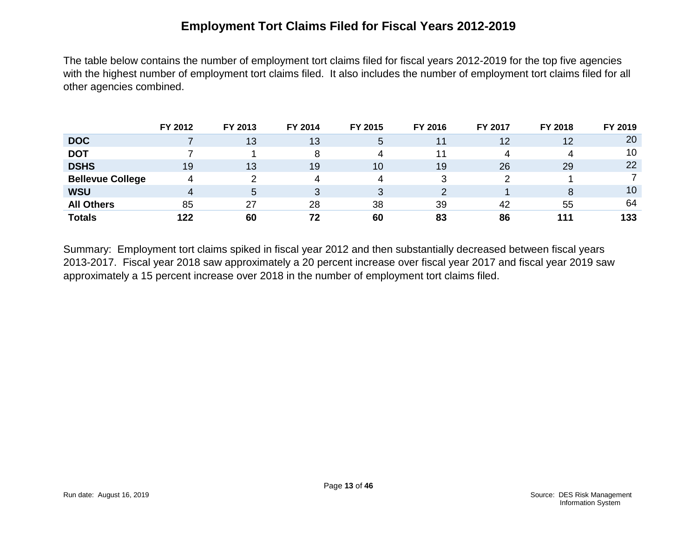#### **Employment Tort Claims Filed for Fiscal Years 2012-2019**

The table below contains the number of employment tort claims filed for fiscal years 2012-2019 for the top five agencies with the highest number of employment tort claims filed. It also includes the number of employment tort claims filed for all other agencies combined.

|                         | FY 2012 | FY 2013 | FY 2014 | FY 2015 | FY 2016 | FY 2017 | FY 2018 | FY 2019 |
|-------------------------|---------|---------|---------|---------|---------|---------|---------|---------|
| <b>DOC</b>              |         | 13      | 13      | 5       | 11      | 12      | 12      | 20      |
| <b>DOT</b>              |         |         | 8       | 4       |         | Δ       | 4       | 10      |
| <b>DSHS</b>             | 19      | 13      | 19      | 10      | 19      | 26      | 29      | 22      |
| <b>Bellevue College</b> | 4       |         | 4       | 4       |         |         |         |         |
| <b>WSU</b>              | 4       | 5       | 3       | 3       |         |         | 8       | 10      |
| <b>All Others</b>       | 85      | 27      | 28      | 38      | 39      | 42      | 55      | 64      |
| <b>Totals</b>           | 122     | 60      | 72      | 60      | 83      | 86      | 111     | 133     |

Summary: Employment tort claims spiked in fiscal year 2012 and then substantially decreased between fiscal years 2013-2017. Fiscal year 2018 saw approximately a 20 percent increase over fiscal year 2017 and fiscal year 2019 saw approximately a 15 percent increase over 2018 in the number of employment tort claims filed.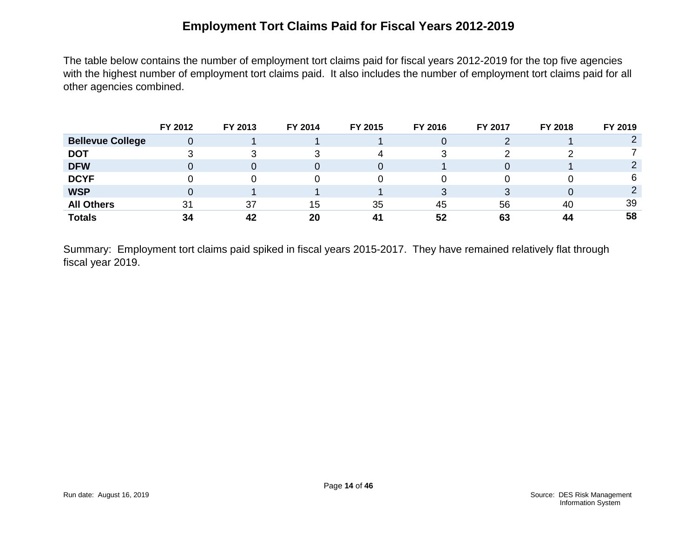## **Employment Tort Claims Paid for Fiscal Years 2012-2019**

The table below contains the number of employment tort claims paid for fiscal years 2012-2019 for the top five agencies with the highest number of employment tort claims paid. It also includes the number of employment tort claims paid for all other agencies combined.

|                         | FY 2012 | FY 2013 | FY 2014 | FY 2015 | FY 2016 | FY 2017 | FY 2018 | FY 2019 |
|-------------------------|---------|---------|---------|---------|---------|---------|---------|---------|
| <b>Bellevue College</b> | 0       |         |         |         |         |         |         |         |
| <b>DOT</b>              |         | 3       |         | Д       |         |         |         |         |
| <b>DFW</b>              |         | 0       | 0       |         |         |         |         |         |
| <b>DCYF</b>             |         | 0       | 0       |         |         |         |         | 6       |
| <b>WSP</b>              |         |         |         |         |         |         |         |         |
| <b>All Others</b>       | 31      | 37      | 15      | 35      | 45      | 56      | 40      | 39      |
| <b>Totals</b>           | 34      | 42      | 20      | 41      | 52      | 63      | 44      | 58      |

Summary: Employment tort claims paid spiked in fiscal years 2015-2017. They have remained relatively flat through fiscal year 2019.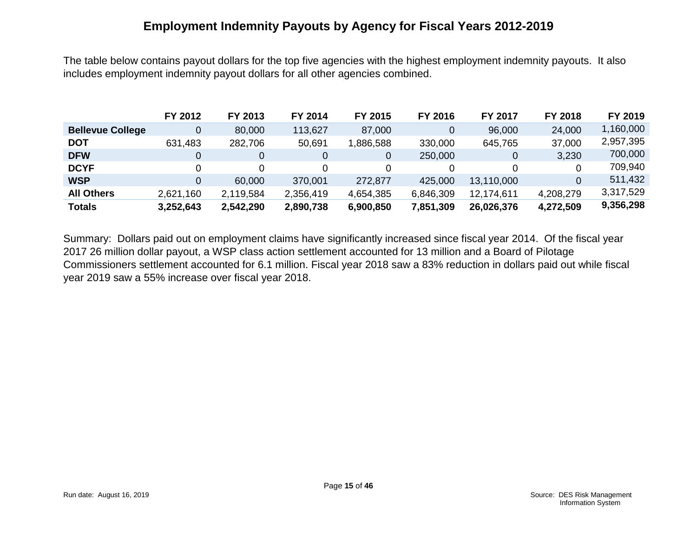#### **Employment Indemnity Payouts by Agency for Fiscal Years 2012-2019**

The table below contains payout dollars for the top five agencies with the highest employment indemnity payouts. It also includes employment indemnity payout dollars for all other agencies combined.

|                         | FY 2012   | FY 2013   | FY 2014   | FY 2015   | FY 2016   | FY 2017    | FY 2018   | FY 2019   |
|-------------------------|-----------|-----------|-----------|-----------|-----------|------------|-----------|-----------|
| <b>Bellevue College</b> | 0         | 80,000    | 113,627   | 87,000    | 0         | 96,000     | 24,000    | 1,160,000 |
| <b>DOT</b>              | 631,483   | 282,706   | 50,691    | 886,588   | 330,000   | 645,765    | 37,000    | 2,957,395 |
| <b>DFW</b>              | 0         | $\Omega$  | 0         | 0         | 250,000   | 0          | 3,230     | 700,000   |
| <b>DCYF</b>             | 0         | 0         | 0         |           |           | 0          | $\Omega$  | 709,940   |
| <b>WSP</b>              | 0         | 60,000    | 370,001   | 272,877   | 425,000   | 13,110,000 | $\Omega$  | 511,432   |
| <b>All Others</b>       | 2,621,160 | 2,119,584 | 2,356,419 | 4,654,385 | 6,846,309 | 12,174,611 | 4,208,279 | 3,317,529 |
| <b>Totals</b>           | 3,252,643 | 2,542,290 | 2,890,738 | 6,900,850 | 7,851,309 | 26,026,376 | 4,272,509 | 9,356,298 |

Summary: Dollars paid out on employment claims have significantly increased since fiscal year 2014. Of the fiscal year 2017 26 million dollar payout, a WSP class action settlement accounted for 13 million and a Board of Pilotage Commissioners settlement accounted for 6.1 million. Fiscal year 2018 saw a 83% reduction in dollars paid out while fiscal year 2019 saw a 55% increase over fiscal year 2018.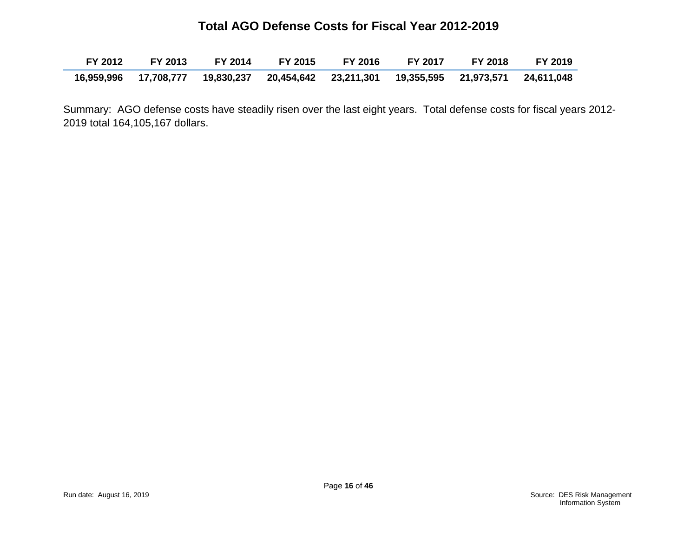#### **Total AGO Defense Costs for Fiscal Year 2012-2019**

| FY 2012 |  | FY 2013 FY 2014 FY 2015 FY 2016 FY 2017                                                 | FY 2018 | <b>FY 2019</b> |
|---------|--|-----------------------------------------------------------------------------------------|---------|----------------|
|         |  | 16,959,996 17,708,777 19,830,237 20,454,642 23,211,301 19,355,595 21,973,571 24,611,048 |         |                |

Summary: AGO defense costs have steadily risen over the last eight years. Total defense costs for fiscal years 2012- 2019 total 164,105,167 dollars.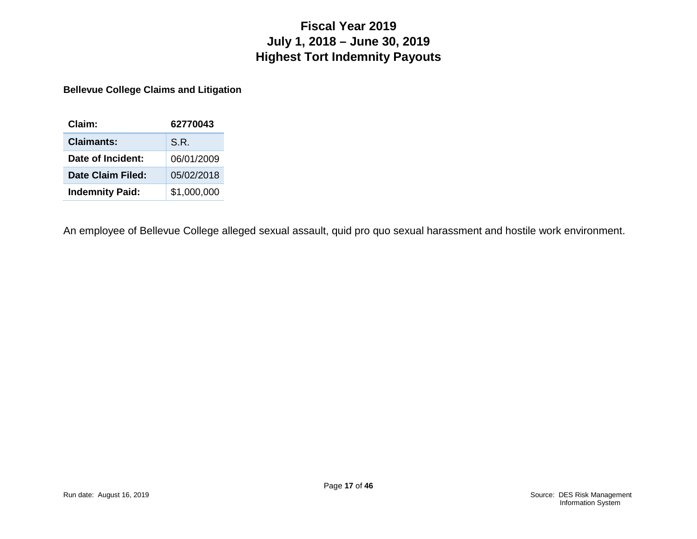## **Fiscal Year 2019 July 1, 2018 – June 30, 2019 Highest Tort Indemnity Payouts**

**Bellevue College Claims and Litigation**

| Claim:                 | 62770043    |
|------------------------|-------------|
| Claimants:             | S.R.        |
| Date of Incident:      | 06/01/2009  |
| Date Claim Filed:      | 05/02/2018  |
| <b>Indemnity Paid:</b> | \$1,000,000 |

An employee of Bellevue College alleged sexual assault, quid pro quo sexual harassment and hostile work environment.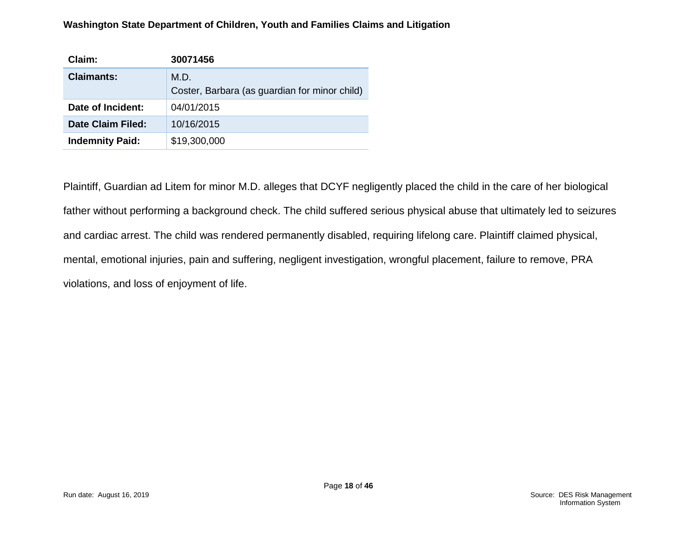#### **Washington State Department of Children, Youth and Families Claims and Litigation**

| Claim:                 | 30071456                                      |
|------------------------|-----------------------------------------------|
| <b>Claimants:</b>      | M.D.                                          |
|                        | Coster, Barbara (as guardian for minor child) |
| Date of Incident:      | 04/01/2015                                    |
| Date Claim Filed:      | 10/16/2015                                    |
| <b>Indemnity Paid:</b> | \$19,300,000                                  |

Plaintiff, Guardian ad Litem for minor M.D. alleges that DCYF negligently placed the child in the care of her biological father without performing a background check. The child suffered serious physical abuse that ultimately led to seizures and cardiac arrest. The child was rendered permanently disabled, requiring lifelong care. Plaintiff claimed physical, mental, emotional injuries, pain and suffering, negligent investigation, wrongful placement, failure to remove, PRA violations, and loss of enjoyment of life.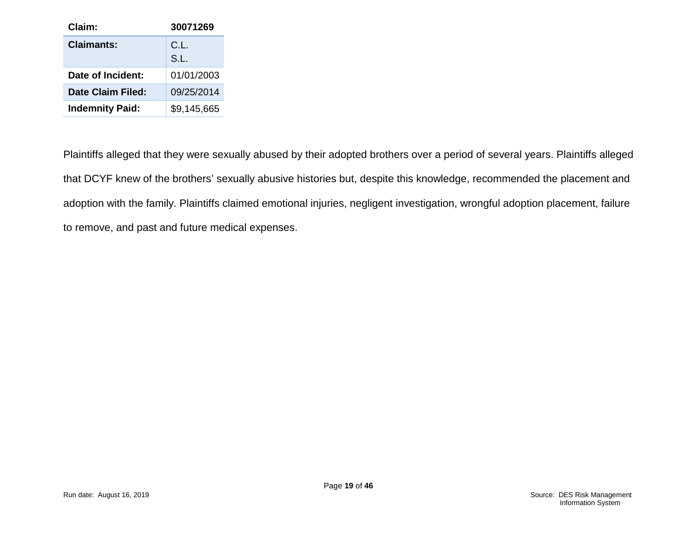| Claim:                 | 30071269     |
|------------------------|--------------|
| <b>Claimants:</b>      | C.L.<br>S.L. |
| Date of Incident:      | 01/01/2003   |
| Date Claim Filed:      | 09/25/2014   |
| <b>Indemnity Paid:</b> | \$9,145,665  |

Plaintiffs alleged that they were sexually abused by their adopted brothers over a period of several years. Plaintiffs alleged that DCYF knew of the brothers' sexually abusive histories but, despite this knowledge, recommended the placement and adoption with the family. Plaintiffs claimed emotional injuries, negligent investigation, wrongful adoption placement, failure to remove, and past and future medical expenses.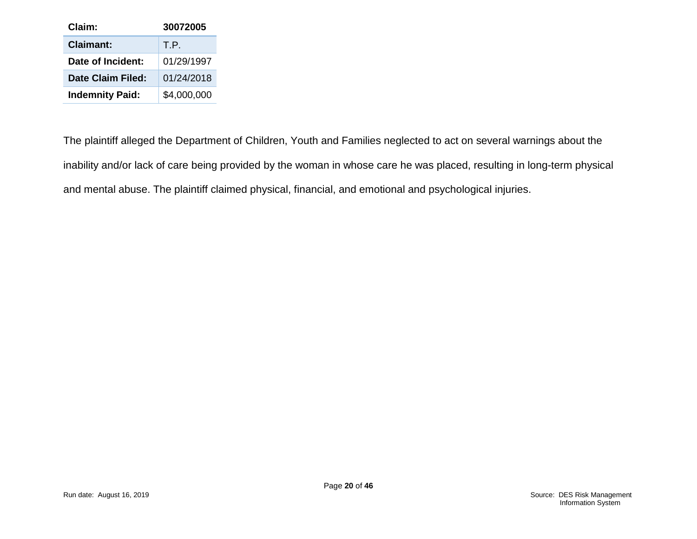| Claim:                 | 30072005    |
|------------------------|-------------|
| Claimant:              | T.P.        |
| Date of Incident:      | 01/29/1997  |
| Date Claim Filed:      | 01/24/2018  |
| <b>Indemnity Paid:</b> | \$4,000,000 |

The plaintiff alleged the Department of Children, Youth and Families neglected to act on several warnings about the inability and/or lack of care being provided by the woman in whose care he was placed, resulting in long-term physical and mental abuse. The plaintiff claimed physical, financial, and emotional and psychological injuries.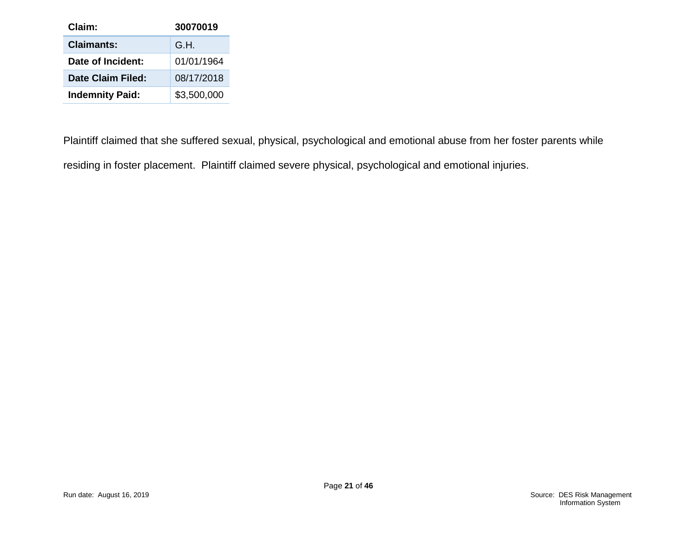| Claim:                 | 30070019    |
|------------------------|-------------|
| <b>Claimants:</b>      | G.H.        |
| Date of Incident:      | 01/01/1964  |
| Date Claim Filed:      | 08/17/2018  |
| <b>Indemnity Paid:</b> | \$3,500,000 |

Plaintiff claimed that she suffered sexual, physical, psychological and emotional abuse from her foster parents while residing in foster placement. Plaintiff claimed severe physical, psychological and emotional injuries.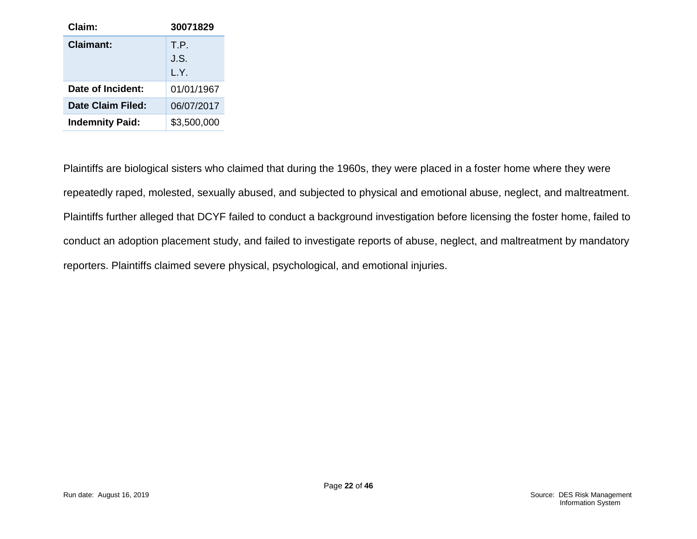| Claim:                 | 30071829     |
|------------------------|--------------|
| Claimant:              | T.P.<br>J.S. |
|                        | L.Y.         |
| Date of Incident:      | 01/01/1967   |
| Date Claim Filed:      | 06/07/2017   |
| <b>Indemnity Paid:</b> | \$3,500,000  |

Plaintiffs are biological sisters who claimed that during the 1960s, they were placed in a foster home where they were repeatedly raped, molested, sexually abused, and subjected to physical and emotional abuse, neglect, and maltreatment. Plaintiffs further alleged that DCYF failed to conduct a background investigation before licensing the foster home, failed to conduct an adoption placement study, and failed to investigate reports of abuse, neglect, and maltreatment by mandatory reporters. Plaintiffs claimed severe physical, psychological, and emotional injuries.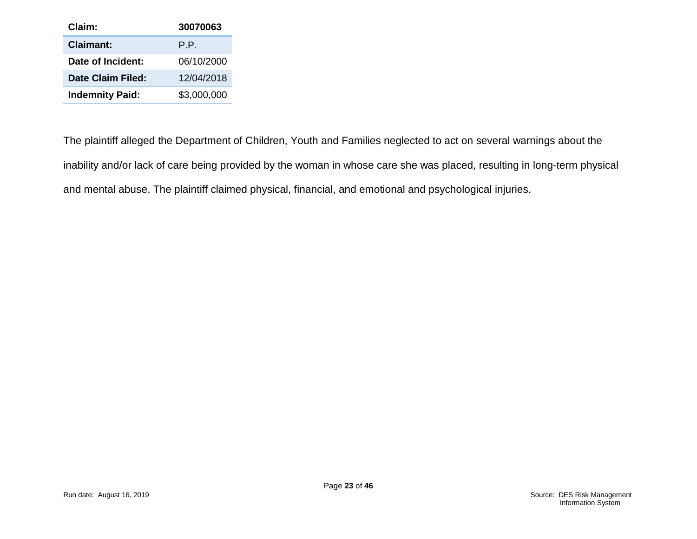| Claim:                 | 30070063    |
|------------------------|-------------|
| <b>Claimant:</b>       | P.P.        |
| Date of Incident:      | 06/10/2000  |
| Date Claim Filed:      | 12/04/2018  |
| <b>Indemnity Paid:</b> | \$3,000,000 |

The plaintiff alleged the Department of Children, Youth and Families neglected to act on several warnings about the inability and/or lack of care being provided by the woman in whose care she was placed, resulting in long-term physical and mental abuse. The plaintiff claimed physical, financial, and emotional and psychological injuries.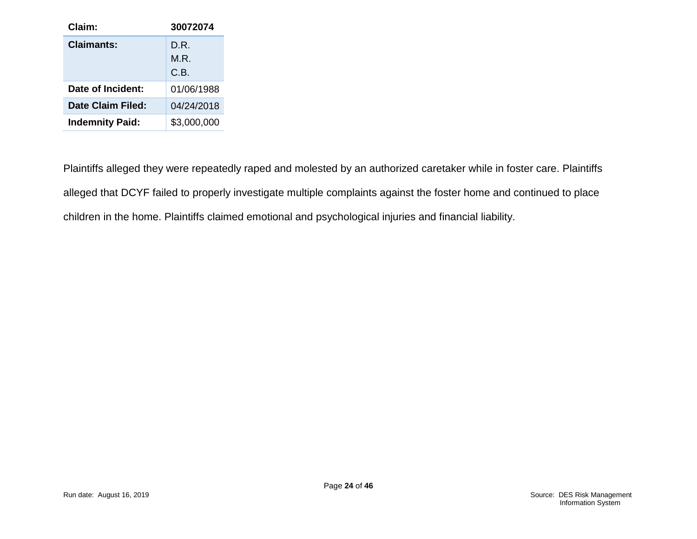| Claim:                 | 30072074             |
|------------------------|----------------------|
| Claimants:             | D.R.<br>M.R.<br>C.B. |
| Date of Incident:      | 01/06/1988           |
| Date Claim Filed:      | 04/24/2018           |
| <b>Indemnity Paid:</b> | \$3,000,000          |

Plaintiffs alleged they were repeatedly raped and molested by an authorized caretaker while in foster care. Plaintiffs alleged that DCYF failed to properly investigate multiple complaints against the foster home and continued to place children in the home. Plaintiffs claimed emotional and psychological injuries and financial liability.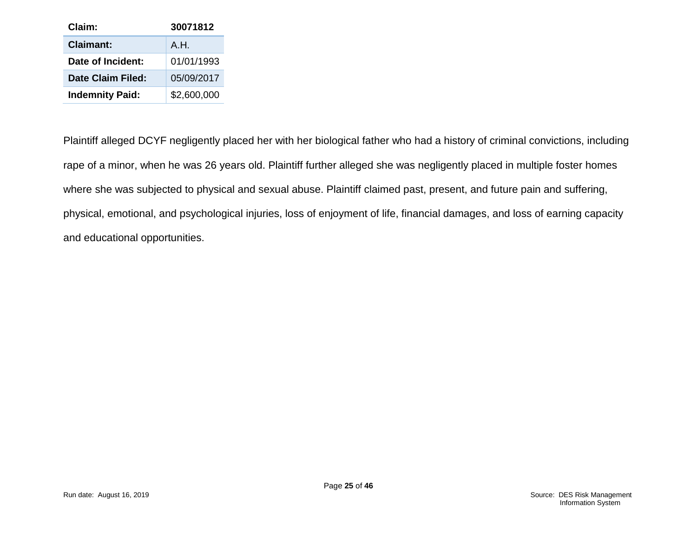| Claim:                 | 30071812    |
|------------------------|-------------|
| <b>Claimant:</b>       | A.H.        |
| Date of Incident:      | 01/01/1993  |
| Date Claim Filed:      | 05/09/2017  |
| <b>Indemnity Paid:</b> | \$2,600,000 |

Plaintiff alleged DCYF negligently placed her with her biological father who had a history of criminal convictions, including rape of a minor, when he was 26 years old. Plaintiff further alleged she was negligently placed in multiple foster homes where she was subjected to physical and sexual abuse. Plaintiff claimed past, present, and future pain and suffering, physical, emotional, and psychological injuries, loss of enjoyment of life, financial damages, and loss of earning capacity and educational opportunities.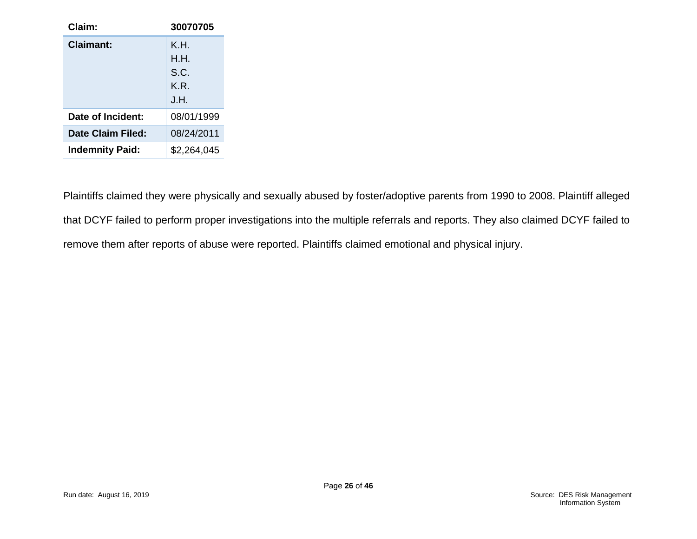| Claim:                 | 30070705    |
|------------------------|-------------|
| Claimant:              | K.H.        |
|                        | H.H.        |
|                        | S.C.        |
|                        | K R I       |
|                        | J.H.        |
| Date of Incident:      | 08/01/1999  |
| Date Claim Filed:      | 08/24/2011  |
| <b>Indemnity Paid:</b> | \$2,264,045 |

Plaintiffs claimed they were physically and sexually abused by foster/adoptive parents from 1990 to 2008. Plaintiff alleged that DCYF failed to perform proper investigations into the multiple referrals and reports. They also claimed DCYF failed to remove them after reports of abuse were reported. Plaintiffs claimed emotional and physical injury.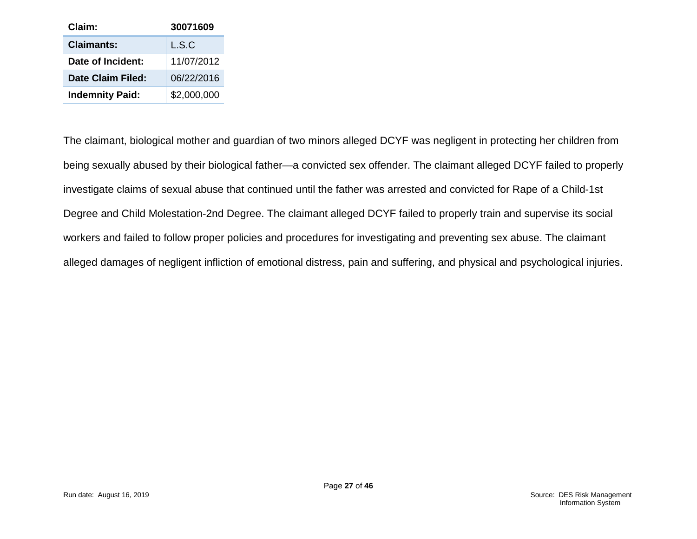| Claim:                 | 30071609    |
|------------------------|-------------|
| <b>Claimants:</b>      | L.S.C       |
| Date of Incident:      | 11/07/2012  |
| Date Claim Filed:      | 06/22/2016  |
| <b>Indemnity Paid:</b> | \$2,000,000 |

The claimant, biological mother and guardian of two minors alleged DCYF was negligent in protecting her children from being sexually abused by their biological father—a convicted sex offender. The claimant alleged DCYF failed to properly investigate claims of sexual abuse that continued until the father was arrested and convicted for Rape of a Child-1st Degree and Child Molestation-2nd Degree. The claimant alleged DCYF failed to properly train and supervise its social workers and failed to follow proper policies and procedures for investigating and preventing sex abuse. The claimant alleged damages of negligent infliction of emotional distress, pain and suffering, and physical and psychological injuries.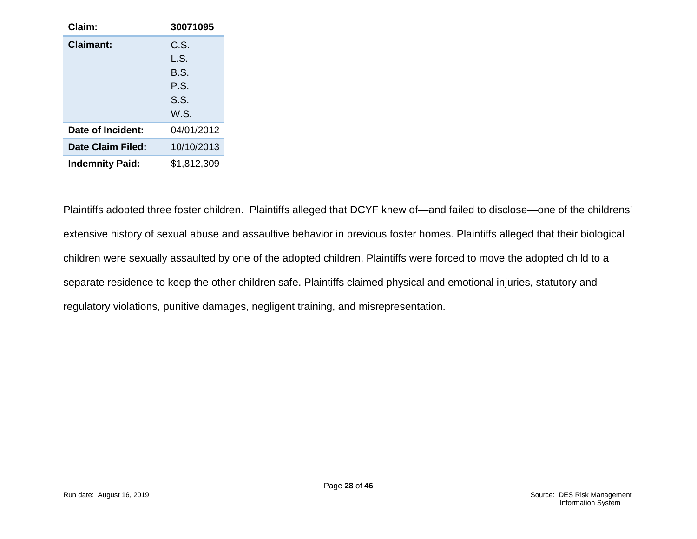| Claim:                 | 30071095    |
|------------------------|-------------|
| Claimant:              | C.S.        |
|                        | L.S.        |
|                        | B.S.        |
|                        | P.S.        |
|                        | S.S.        |
|                        | W.S.        |
| Date of Incident:      | 04/01/2012  |
| Date Claim Filed:      | 10/10/2013  |
| <b>Indemnity Paid:</b> | \$1,812,309 |

Plaintiffs adopted three foster children. Plaintiffs alleged that DCYF knew of—and failed to disclose—one of the childrens' extensive history of sexual abuse and assaultive behavior in previous foster homes. Plaintiffs alleged that their biological children were sexually assaulted by one of the adopted children. Plaintiffs were forced to move the adopted child to a separate residence to keep the other children safe. Plaintiffs claimed physical and emotional injuries, statutory and regulatory violations, punitive damages, negligent training, and misrepresentation.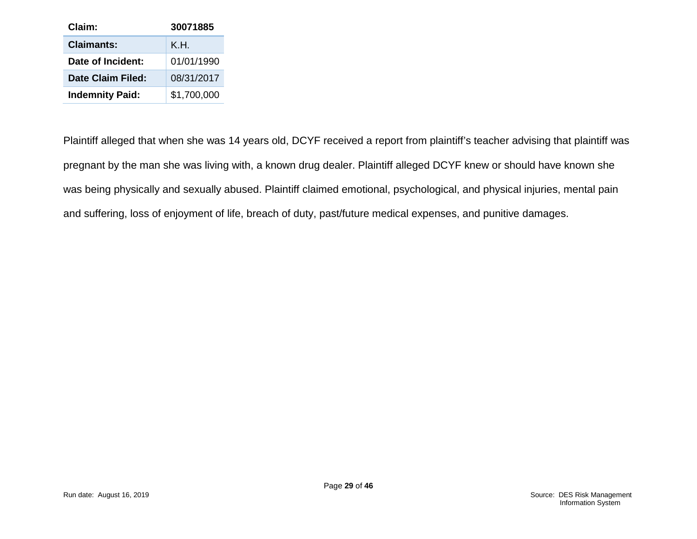| Claim:                 | 30071885    |
|------------------------|-------------|
| <b>Claimants:</b>      | K.H.        |
| Date of Incident:      | 01/01/1990  |
| Date Claim Filed:      | 08/31/2017  |
| <b>Indemnity Paid:</b> | \$1,700,000 |

Plaintiff alleged that when she was 14 years old, DCYF received a report from plaintiff's teacher advising that plaintiff was pregnant by the man she was living with, a known drug dealer. Plaintiff alleged DCYF knew or should have known she was being physically and sexually abused. Plaintiff claimed emotional, psychological, and physical injuries, mental pain and suffering, loss of enjoyment of life, breach of duty, past/future medical expenses, and punitive damages.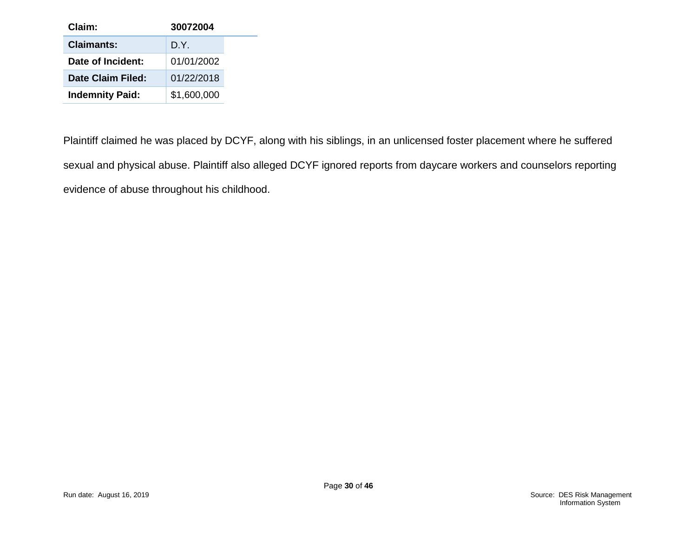| Claim:                 | 30072004    |
|------------------------|-------------|
| <b>Claimants:</b>      | D.Y.        |
| Date of Incident:      | 01/01/2002  |
| Date Claim Filed:      | 01/22/2018  |
| <b>Indemnity Paid:</b> | \$1,600,000 |

Plaintiff claimed he was placed by DCYF, along with his siblings, in an unlicensed foster placement where he suffered sexual and physical abuse. Plaintiff also alleged DCYF ignored reports from daycare workers and counselors reporting evidence of abuse throughout his childhood.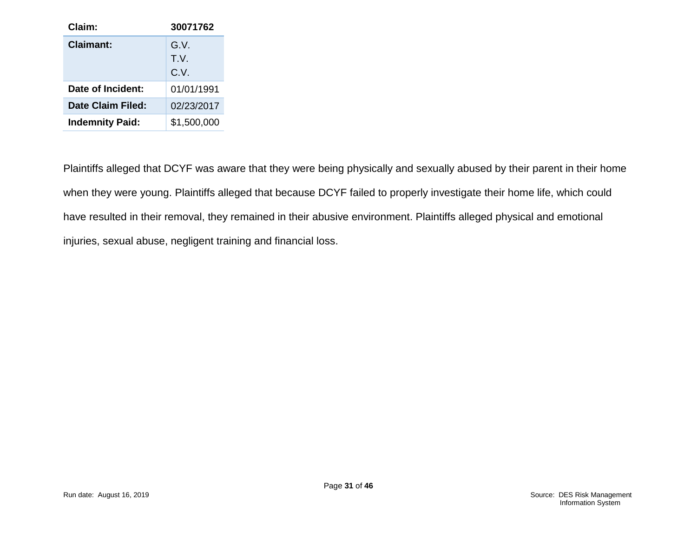| Claim:                 | 30071762    |
|------------------------|-------------|
| Claimant:              | G.V.        |
|                        | T.V.        |
|                        | C.V.        |
| Date of Incident:      | 01/01/1991  |
| Date Claim Filed:      | 02/23/2017  |
| <b>Indemnity Paid:</b> | \$1,500,000 |

Plaintiffs alleged that DCYF was aware that they were being physically and sexually abused by their parent in their home when they were young. Plaintiffs alleged that because DCYF failed to properly investigate their home life, which could have resulted in their removal, they remained in their abusive environment. Plaintiffs alleged physical and emotional injuries, sexual abuse, negligent training and financial loss.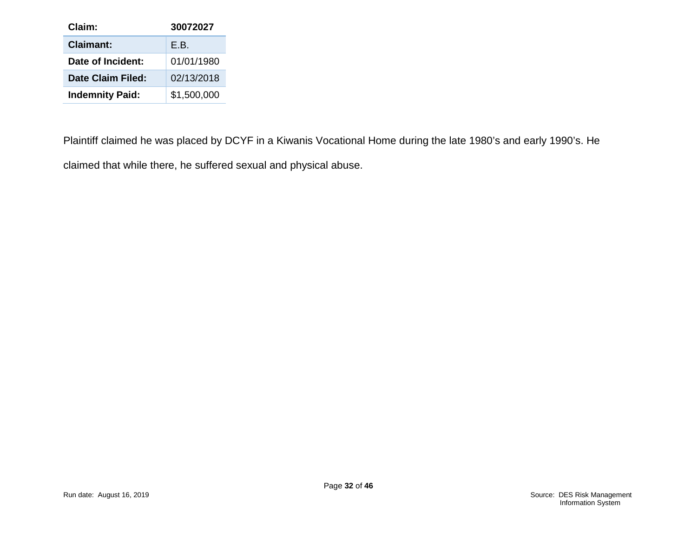| Claim:                 | 30072027    |
|------------------------|-------------|
| <b>Claimant:</b>       | F.B.        |
| Date of Incident:      | 01/01/1980  |
| Date Claim Filed:      | 02/13/2018  |
| <b>Indemnity Paid:</b> | \$1,500,000 |

Plaintiff claimed he was placed by DCYF in a Kiwanis Vocational Home during the late 1980's and early 1990's. He claimed that while there, he suffered sexual and physical abuse.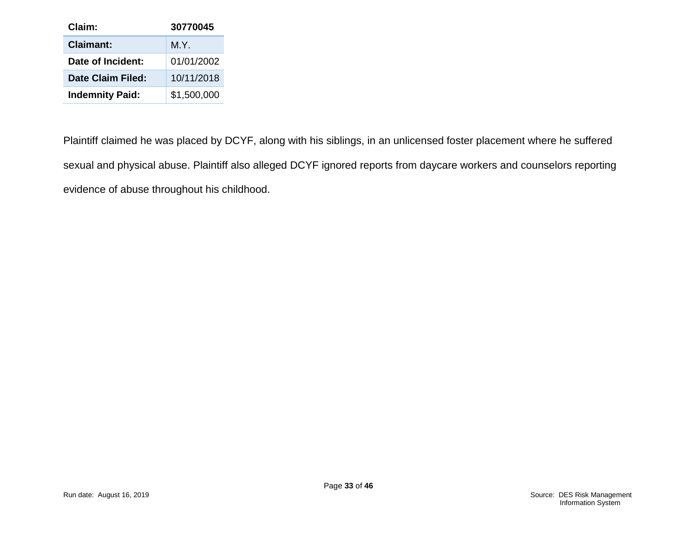| Claim:                 | 30770045    |
|------------------------|-------------|
| <b>Claimant:</b>       | M.Y.        |
| Date of Incident:      | 01/01/2002  |
| Date Claim Filed:      | 10/11/2018  |
| <b>Indemnity Paid:</b> | \$1,500,000 |

Plaintiff claimed he was placed by DCYF, along with his siblings, in an unlicensed foster placement where he suffered sexual and physical abuse. Plaintiff also alleged DCYF ignored reports from daycare workers and counselors reporting evidence of abuse throughout his childhood.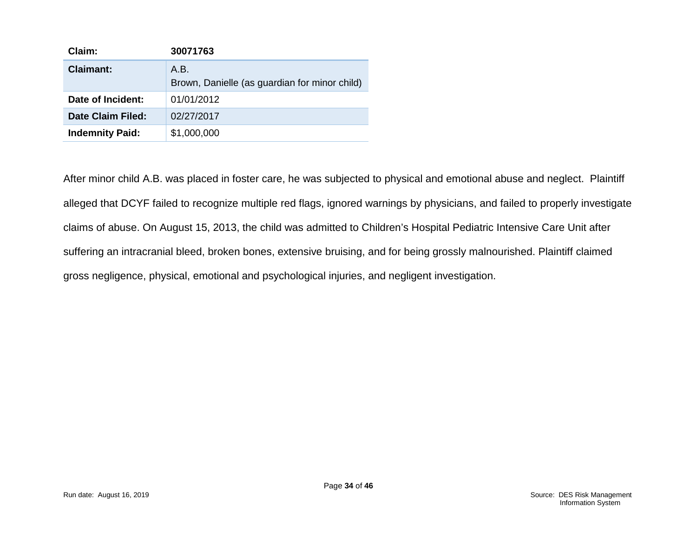| Claim:                   | 30071763                                      |
|--------------------------|-----------------------------------------------|
| <b>Claimant:</b>         | A.B.                                          |
|                          | Brown, Danielle (as guardian for minor child) |
| Date of Incident:        | 01/01/2012                                    |
| <b>Date Claim Filed:</b> | 02/27/2017                                    |
| <b>Indemnity Paid:</b>   | \$1,000,000                                   |

After minor child A.B. was placed in foster care, he was subjected to physical and emotional abuse and neglect. Plaintiff alleged that DCYF failed to recognize multiple red flags, ignored warnings by physicians, and failed to properly investigate claims of abuse. On August 15, 2013, the child was admitted to Children's Hospital Pediatric Intensive Care Unit after suffering an intracranial bleed, broken bones, extensive bruising, and for being grossly malnourished. Plaintiff claimed gross negligence, physical, emotional and psychological injuries, and negligent investigation.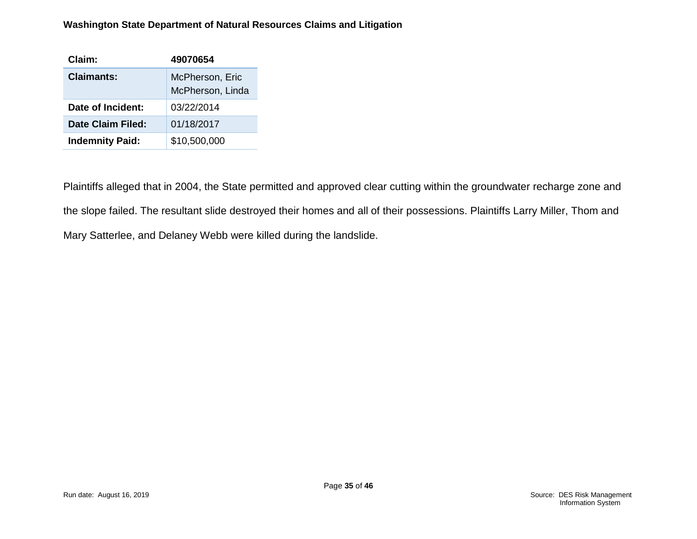#### **Washington State Department of Natural Resources Claims and Litigation**

| Claim:                 | 49070654                            |
|------------------------|-------------------------------------|
| Claimants:             | McPherson, Eric<br>McPherson, Linda |
| Date of Incident:      | 03/22/2014                          |
| Date Claim Filed:      | 01/18/2017                          |
| <b>Indemnity Paid:</b> | \$10,500,000                        |

Plaintiffs alleged that in 2004, the State permitted and approved clear cutting within the groundwater recharge zone and the slope failed. The resultant slide destroyed their homes and all of their possessions. Plaintiffs Larry Miller, Thom and Mary Satterlee, and Delaney Webb were killed during the landslide.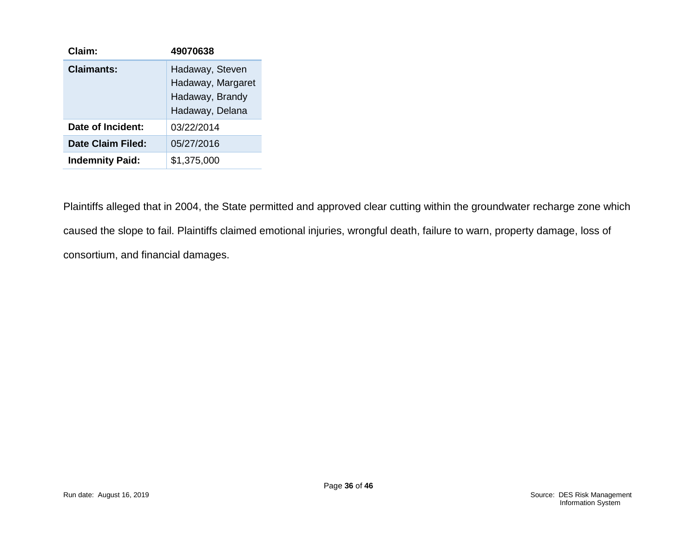| Claim:                 | 49070638                                                                   |
|------------------------|----------------------------------------------------------------------------|
| Claimants:             | Hadaway, Steven<br>Hadaway, Margaret<br>Hadaway, Brandy<br>Hadaway, Delana |
| Date of Incident:      | 03/22/2014                                                                 |
| Date Claim Filed:      | 05/27/2016                                                                 |
| <b>Indemnity Paid:</b> | \$1,375,000                                                                |

Plaintiffs alleged that in 2004, the State permitted and approved clear cutting within the groundwater recharge zone which caused the slope to fail. Plaintiffs claimed emotional injuries, wrongful death, failure to warn, property damage, loss of consortium, and financial damages.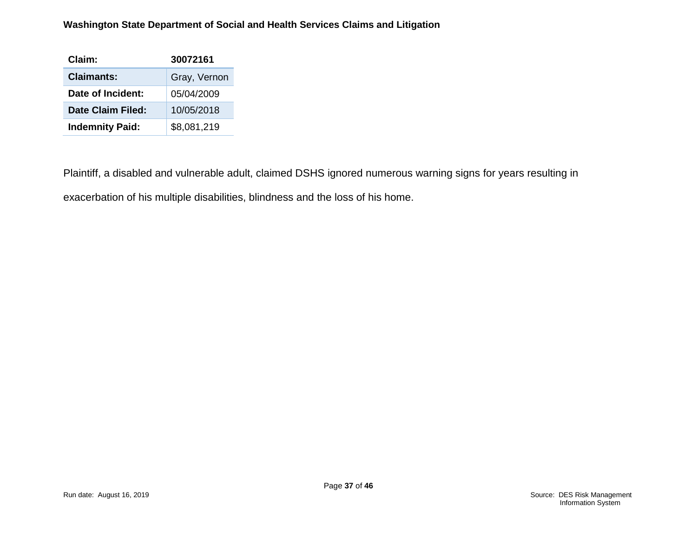#### **Washington State Department of Social and Health Services Claims and Litigation**

| Claim:                 | 30072161     |
|------------------------|--------------|
| <b>Claimants:</b>      | Gray, Vernon |
| Date of Incident:      | 05/04/2009   |
| Date Claim Filed:      | 10/05/2018   |
| <b>Indemnity Paid:</b> | \$8,081,219  |

Plaintiff, a disabled and vulnerable adult, claimed DSHS ignored numerous warning signs for years resulting in exacerbation of his multiple disabilities, blindness and the loss of his home.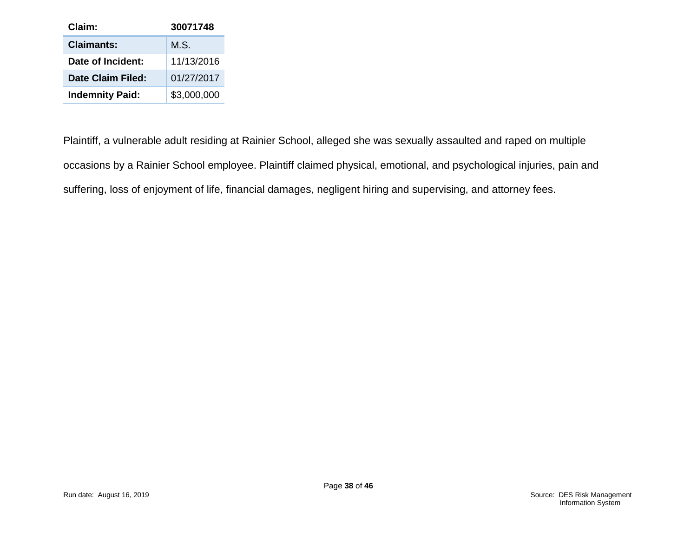| Claim:                 | 30071748        |
|------------------------|-----------------|
| <b>Claimants:</b>      | MS <sub>1</sub> |
| Date of Incident:      | 11/13/2016      |
| Date Claim Filed:      | 01/27/2017      |
| <b>Indemnity Paid:</b> | \$3,000,000     |

Plaintiff, a vulnerable adult residing at Rainier School, alleged she was sexually assaulted and raped on multiple occasions by a Rainier School employee. Plaintiff claimed physical, emotional, and psychological injuries, pain and suffering, loss of enjoyment of life, financial damages, negligent hiring and supervising, and attorney fees.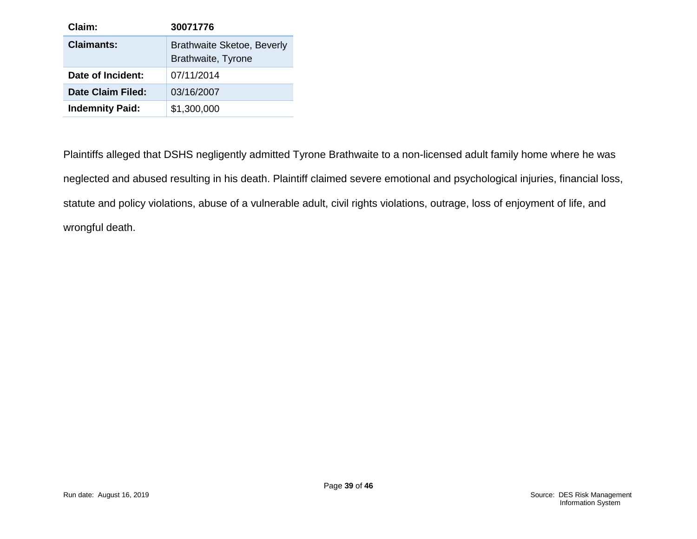| Claim:                   | 30071776                                                |
|--------------------------|---------------------------------------------------------|
| Claimants:               | <b>Brathwaite Sketoe, Beverly</b><br>Brathwaite, Tyrone |
| Date of Incident:        | 07/11/2014                                              |
| <b>Date Claim Filed:</b> | 03/16/2007                                              |
| <b>Indemnity Paid:</b>   | \$1,300,000                                             |

Plaintiffs alleged that DSHS negligently admitted Tyrone Brathwaite to a non-licensed adult family home where he was neglected and abused resulting in his death. Plaintiff claimed severe emotional and psychological injuries, financial loss, statute and policy violations, abuse of a vulnerable adult, civil rights violations, outrage, loss of enjoyment of life, and wrongful death.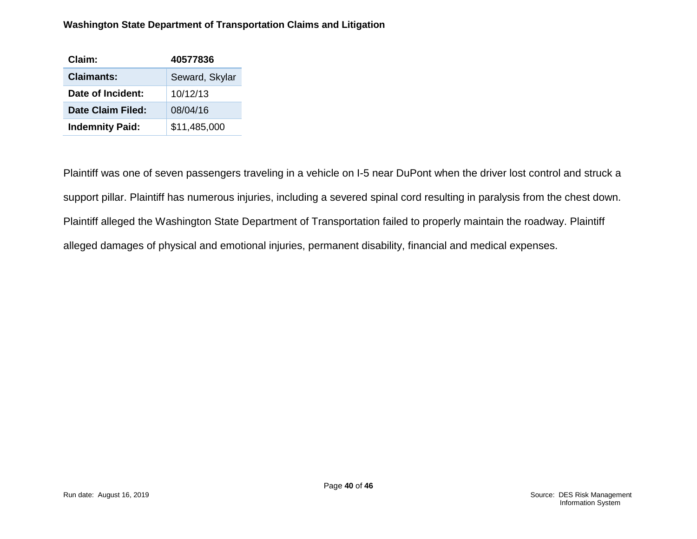#### **Washington State Department of Transportation Claims and Litigation**

| Claim:                 | 40577836       |
|------------------------|----------------|
| <b>Claimants:</b>      | Seward, Skylar |
| Date of Incident:      | 10/12/13       |
| Date Claim Filed:      | 08/04/16       |
| <b>Indemnity Paid:</b> | \$11,485,000   |

Plaintiff was one of seven passengers traveling in a vehicle on I-5 near DuPont when the driver lost control and struck a support pillar. Plaintiff has numerous injuries, including a severed spinal cord resulting in paralysis from the chest down. Plaintiff alleged the Washington State Department of Transportation failed to properly maintain the roadway. Plaintiff alleged damages of physical and emotional injuries, permanent disability, financial and medical expenses.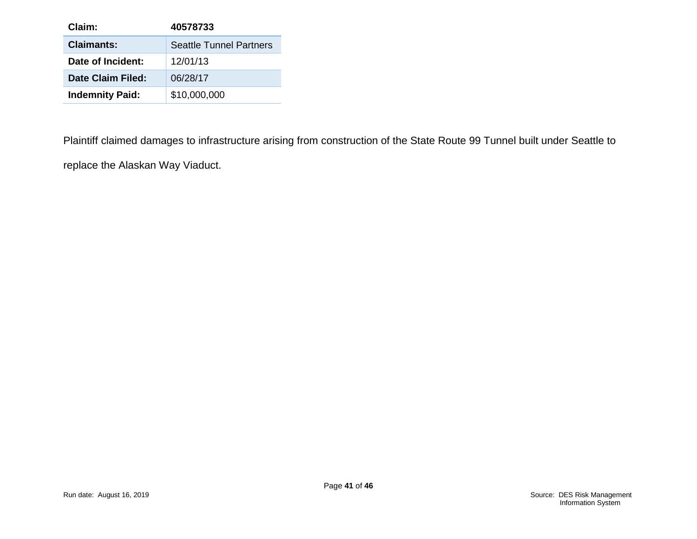| Claim:                 | 40578733                       |
|------------------------|--------------------------------|
| <b>Claimants:</b>      | <b>Seattle Tunnel Partners</b> |
| Date of Incident:      | 12/01/13                       |
| Date Claim Filed:      | 06/28/17                       |
| <b>Indemnity Paid:</b> | \$10,000,000                   |

Plaintiff claimed damages to infrastructure arising from construction of the State Route 99 Tunnel built under Seattle to replace the Alaskan Way Viaduct.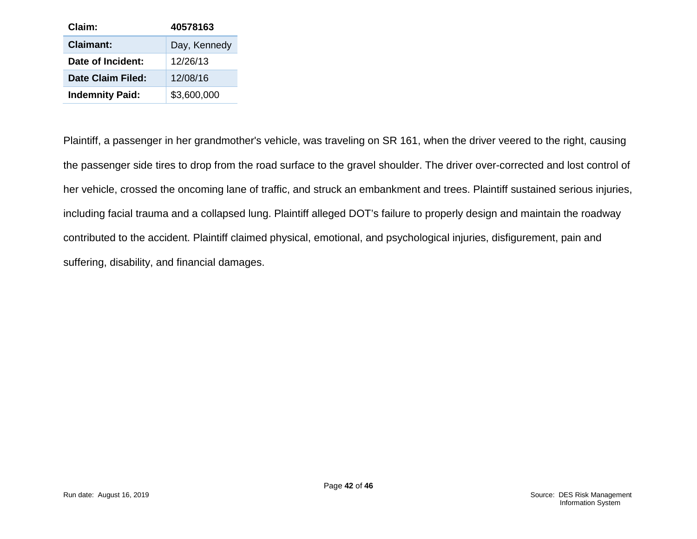| Claim:                 | 40578163     |
|------------------------|--------------|
| <b>Claimant:</b>       | Day, Kennedy |
| Date of Incident:      | 12/26/13     |
| Date Claim Filed:      | 12/08/16     |
| <b>Indemnity Paid:</b> | \$3,600,000  |

Plaintiff, a passenger in her grandmother's vehicle, was traveling on SR 161, when the driver veered to the right, causing the passenger side tires to drop from the road surface to the gravel shoulder. The driver over-corrected and lost control of her vehicle, crossed the oncoming lane of traffic, and struck an embankment and trees. Plaintiff sustained serious injuries, including facial trauma and a collapsed lung. Plaintiff alleged DOT's failure to properly design and maintain the roadway contributed to the accident. Plaintiff claimed physical, emotional, and psychological injuries, disfigurement, pain and suffering, disability, and financial damages.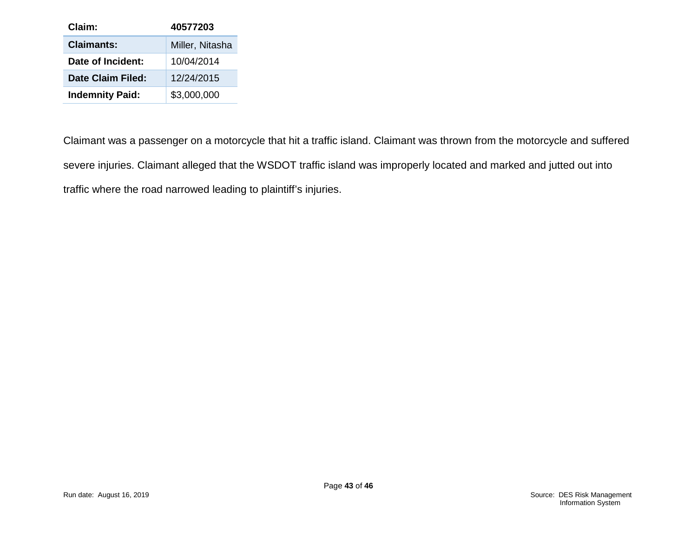| Claim:                 | 40577203        |
|------------------------|-----------------|
| <b>Claimants:</b>      | Miller, Nitasha |
| Date of Incident:      | 10/04/2014      |
| Date Claim Filed:      | 12/24/2015      |
| <b>Indemnity Paid:</b> | \$3,000,000     |

Claimant was a passenger on a motorcycle that hit a traffic island. Claimant was thrown from the motorcycle and suffered severe injuries. Claimant alleged that the WSDOT traffic island was improperly located and marked and jutted out into traffic where the road narrowed leading to plaintiff's injuries.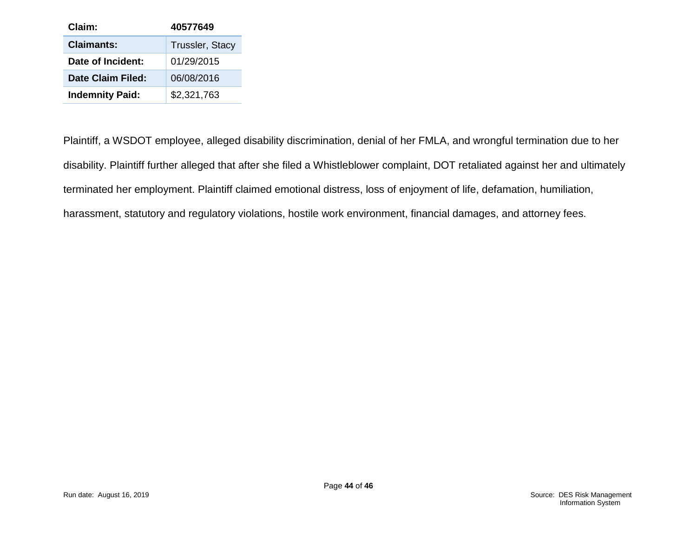| Claim:                   | 40577649               |
|--------------------------|------------------------|
| <b>Claimants:</b>        | <b>Trussler, Stacy</b> |
| Date of Incident:        | 01/29/2015             |
| <b>Date Claim Filed:</b> | 06/08/2016             |
| <b>Indemnity Paid:</b>   | \$2,321,763            |

Plaintiff, a WSDOT employee, alleged disability discrimination, denial of her FMLA, and wrongful termination due to her disability. Plaintiff further alleged that after she filed a Whistleblower complaint, DOT retaliated against her and ultimately terminated her employment. Plaintiff claimed emotional distress, loss of enjoyment of life, defamation, humiliation, harassment, statutory and regulatory violations, hostile work environment, financial damages, and attorney fees.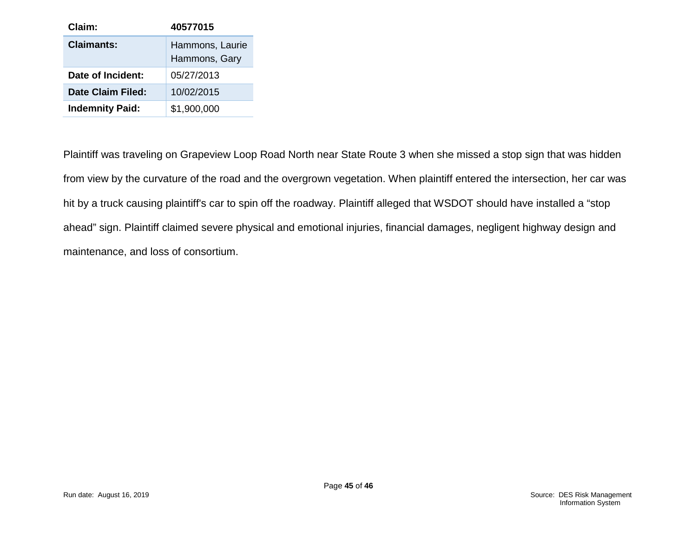| Claim:                 | 40577015                         |
|------------------------|----------------------------------|
| <b>Claimants:</b>      | Hammons, Laurie<br>Hammons, Gary |
| Date of Incident:      | 05/27/2013                       |
| Date Claim Filed:      | 10/02/2015                       |
| <b>Indemnity Paid:</b> | \$1,900,000                      |

Plaintiff was traveling on Grapeview Loop Road North near State Route 3 when she missed a stop sign that was hidden from view by the curvature of the road and the overgrown vegetation. When plaintiff entered the intersection, her car was hit by a truck causing plaintiff's car to spin off the roadway. Plaintiff alleged that WSDOT should have installed a "stop ahead" sign. Plaintiff claimed severe physical and emotional injuries, financial damages, negligent highway design and maintenance, and loss of consortium.